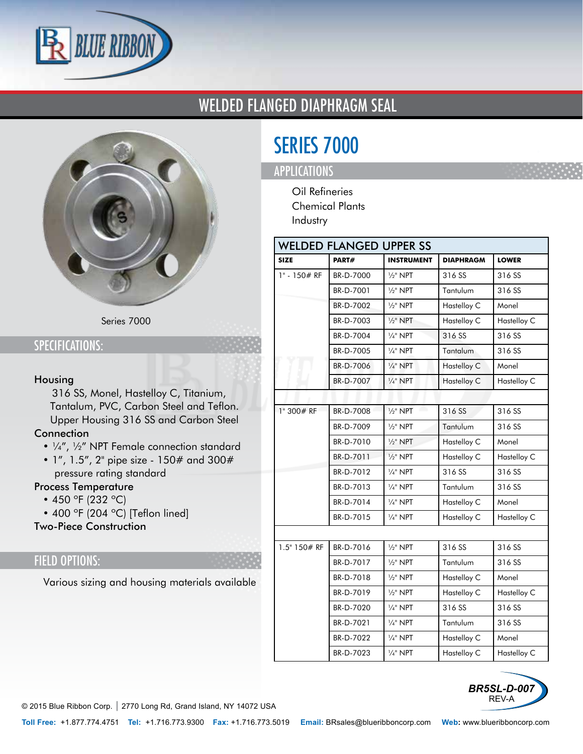

## WELDED FLANGED DIAPHRAGM SEAL



Series 7000

### SPECIFICATIONS:

#### Housing

• 316 SS, Monel, Hastelloy C, Titanium, Tantalum, PVC, Carbon Steel and Teflon. Upper Housing 316 SS and Carbon Steel

#### **Connection**

- ¼", ½" NPT Female connection standard
- 1", 1.5", 2" pipe size 150# and 300# pressure rating standard

#### Process Temperature

- 450 °F (232 °C)
- 400 °F (204 °C) [Teflon lined]

Two-Piece Construction

### FIELD OPTIONS:

• Various sizing and housing materials available

| <b>SERIES 7000</b> |  |  |
|--------------------|--|--|
|                    |  |  |

## APPLICATIONS

- Oil Refineries
- Chemical Plants
- Industry

| <b>WELDED FLANGED UPPER SS</b> |           |                     |                  |              |  |  |  |
|--------------------------------|-----------|---------------------|------------------|--------------|--|--|--|
| <b>SIZE</b>                    | PART#     | <b>INSTRUMENT</b>   | <b>DIAPHRAGM</b> | <b>LOWER</b> |  |  |  |
| 1" - 150# RF                   | BR-D-7000 | $\frac{1}{2}$ " NPT | 316 SS           | 316 SS       |  |  |  |
|                                | BR-D-7001 | $\frac{1}{2}$ " NPT | Tantulum         | 316 SS       |  |  |  |
|                                | BR-D-7002 | $\frac{1}{2}$ " NPT | Hastelloy C      | Monel        |  |  |  |
|                                | BR-D-7003 | $\frac{1}{2}$ " NPT | Hastelloy C      | Hastelloy C  |  |  |  |
|                                | BR-D-7004 | $\frac{1}{4}$ " NPT | 316 SS           | 316 SS       |  |  |  |
|                                | BR-D-7005 | $\frac{1}{4}$ " NPT | Tantalum         | 316 SS       |  |  |  |
|                                | BR-D-7006 | $\frac{1}{4}$ " NPT | Hastelloy C      | Monel        |  |  |  |
|                                | BR-D-7007 | $\frac{1}{4}$ " NPT | Hastelloy C      | Hastelloy C  |  |  |  |
|                                |           |                     |                  |              |  |  |  |
| 1" 300# RF                     | BR-D-7008 | $\frac{1}{2}$ " NPT | 316 SS           | 316 SS       |  |  |  |
|                                | BR-D-7009 | $\frac{1}{2}$ " NPT | Tantulum         | 316 SS       |  |  |  |
|                                | BR-D-7010 | $\frac{1}{2}$ " NPT | Hastelloy C      | Monel        |  |  |  |
|                                | BR-D-7011 | $\frac{1}{2}$ " NPT | Hastelloy C      | Hastelloy C  |  |  |  |
|                                | BR-D-7012 | $\frac{1}{4}$ " NPT | 316 SS           | 316 SS       |  |  |  |
|                                | BR-D-7013 | $\frac{1}{4}$ " NPT | Tantulum         | 316 SS       |  |  |  |
|                                | BR-D-7014 | $\frac{1}{4}$ " NPT | Hastelloy C      | Monel        |  |  |  |
|                                | BR-D-7015 | $\frac{1}{4}$ " NPT | Hastelloy C      | Hastelloy C  |  |  |  |
|                                |           |                     |                  |              |  |  |  |
| 1.5" 150# RF                   | BR-D-7016 | $\frac{1}{2}$ " NPT | 316 SS           | 316 SS       |  |  |  |
|                                | BR-D-7017 | $\frac{1}{2}$ " NPT | Tantulum         | 316 SS       |  |  |  |
|                                | BR-D-7018 | $\frac{1}{2}$ " NPT | Hastelloy C      | Monel        |  |  |  |
|                                | BR-D-7019 | $\frac{1}{2}$ " NPT | Hastelloy C      | Hastelloy C  |  |  |  |
|                                | BR-D-7020 | $\frac{1}{4}$ " NPT | 316 SS           | 316 SS       |  |  |  |
|                                | BR-D-7021 | $\frac{1}{4}$ " NPT | Tantulum         | 316 SS       |  |  |  |
|                                | BR-D-7022 | $\frac{1}{4}$ " NPT | Hastelloy C      | Monel        |  |  |  |
|                                | BR-D-7023 | $\frac{1}{4}$ " NPT | Hastelloy C      | Hastelloy C  |  |  |  |



© 2015 Blue Ribbon Corp. *|* 2770 Long Rd, Grand Island, NY 14072 USA